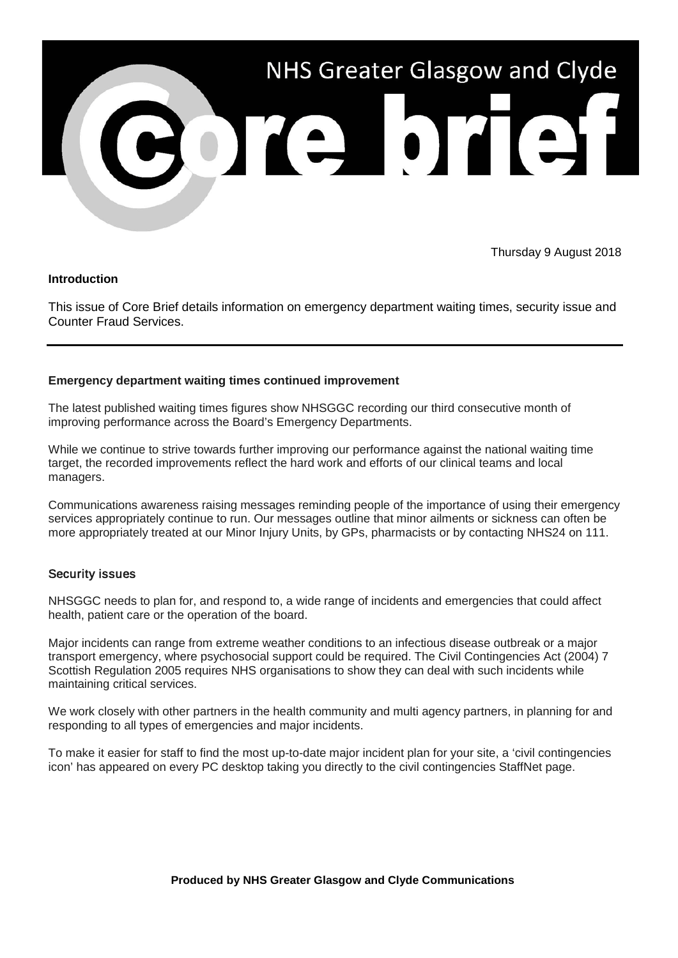

Thursday 9 August 2018

## **Introduction**

This issue of Core Brief details information on emergency department waiting times, security issue and Counter Fraud Services.

## **Emergency department waiting times continued improvement**

The latest published waiting times figures show NHSGGC recording our third consecutive month of improving performance across the Board's Emergency Departments.

While we continue to strive towards further improving our performance against the national waiting time target, the recorded improvements reflect the hard work and efforts of our clinical teams and local managers.

Communications awareness raising messages reminding people of the importance of using their emergency services appropriately continue to run. Our messages outline that minor ailments or sickness can often be more appropriately treated at our Minor Injury Units, by GPs, pharmacists or by contacting NHS24 on 111.

## Security issues

NHSGGC needs to plan for, and respond to, a wide range of incidents and emergencies that could affect health, patient care or the operation of the board.

Major incidents can range from extreme weather conditions to an infectious disease outbreak or a major transport emergency, where psychosocial support could be required. The Civil Contingencies Act (2004) 7 Scottish Regulation 2005 requires NHS organisations to show they can deal with such incidents while maintaining critical services.

We work closely with other partners in the health community and multi agency partners, in planning for and responding to all types of emergencies and major incidents.

To make it easier for staff to find the most up-to-date major incident plan for your site, a 'civil contingencies icon' has appeared on every PC desktop taking you directly to the civil contingencies StaffNet page.